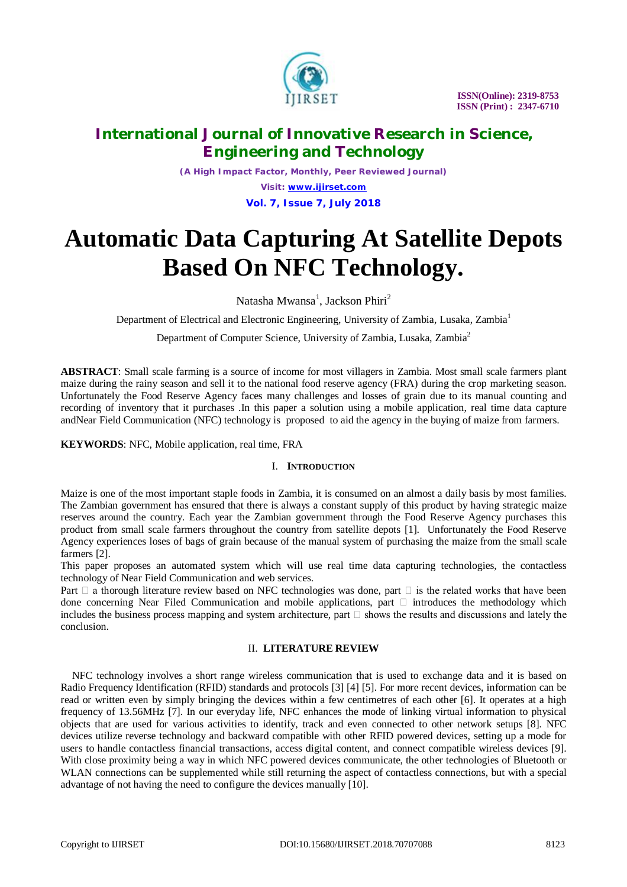

*(A High Impact Factor, Monthly, Peer Reviewed Journal) Visit: [www.ijirset.com](http://www.ijirset.com)* **Vol. 7, Issue 7, July 2018**

# **Automatic Data Capturing At Satellite Depots Based On NFC Technology.**

Natasha Mwansa<sup>1</sup>, Jackson Phiri<sup>2</sup>

Department of Electrical and Electronic Engineering, University of Zambia, Lusaka, Zambia<sup>1</sup>

Department of Computer Science, University of Zambia, Lusaka, Zambia<sup>2</sup>

**ABSTRACT**: Small scale farming is a source of income for most villagers in Zambia. Most small scale farmers plant maize during the rainy season and sell it to the national food reserve agency (FRA) during the crop marketing season. Unfortunately the Food Reserve Agency faces many challenges and losses of grain due to its manual counting and recording of inventory that it purchases .In this paper a solution using a mobile application, real time data capture andNear Field Communication (NFC) technology is proposed to aid the agency in the buying of maize from farmers.

**KEYWORDS**: NFC, Mobile application, real time, FRA

### I. **INTRODUCTION**

Maize is one of the most important staple foods in Zambia, it is consumed on an almost a daily basis by most families. The Zambian government has ensured that there is always a constant supply of this product by having strategic maize reserves around the country. Each year the Zambian government through the Food Reserve Agency purchases this product from small scale farmers throughout the country from satellite depots [1]. Unfortunately the Food Reserve Agency experiences loses of bags of grain because of the manual system of purchasing the maize from the small scale farmers [2].

This paper proposes an automated system which will use real time data capturing technologies, the contactless technology of Near Field Communication and web services.

Part  $\Box$  a thorough literature review based on NFC technologies was done, part  $\Box$  is the related works that have been done concerning Near Filed Communication and mobile applications, part  $\Box$  introduces the methodology which includes the business process mapping and system architecture, part  $\Box$  shows the results and discussions and lately the conclusion.

### II. **LITERATURE REVIEW**

NFC technology involves a short range wireless communication that is used to exchange data and it is based on Radio Frequency Identification (RFID) standards and protocols [3] [4] [5]. For more recent devices, information can be read or written even by simply bringing the devices within a few centimetres of each other [6]. It operates at a high frequency of 13.56MHz [7]. In our everyday life, NFC enhances the mode of linking virtual information to physical objects that are used for various activities to identify, track and even connected to other network setups [8]. NFC devices utilize reverse technology and backward compatible with other RFID powered devices, setting up a mode for users to handle contactless financial transactions, access digital content, and connect compatible wireless devices [9]. With close proximity being a way in which NFC powered devices communicate, the other technologies of Bluetooth or WLAN connections can be supplemented while still returning the aspect of contactless connections, but with a special advantage of not having the need to configure the devices manually [10].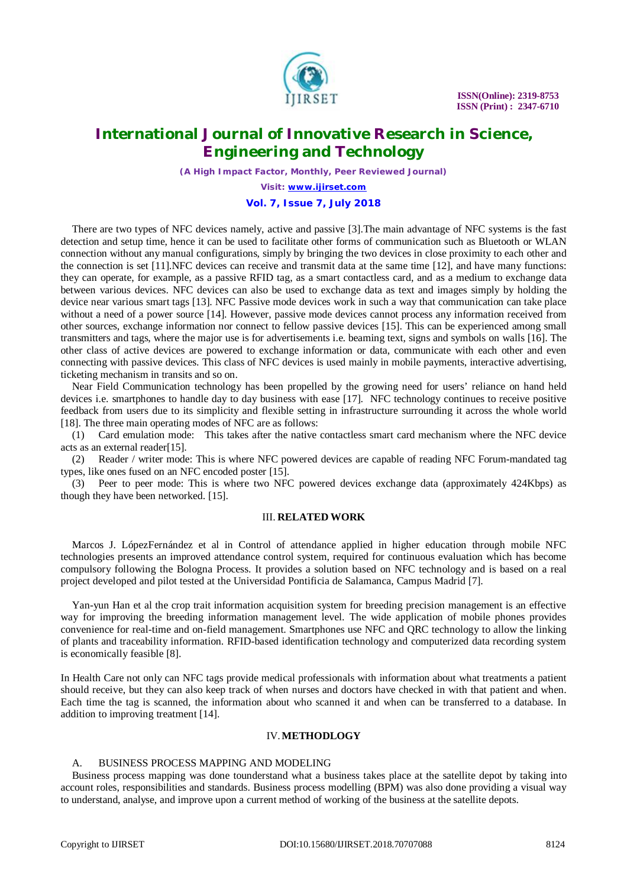

*(A High Impact Factor, Monthly, Peer Reviewed Journal)*

*Visit: [www.ijirset.com](http://www.ijirset.com)*

**Vol. 7, Issue 7, July 2018**

There are two types of NFC devices namely, active and passive [3].The main advantage of NFC systems is the fast detection and setup time, hence it can be used to facilitate other forms of communication such as Bluetooth or WLAN connection without any manual configurations, simply by bringing the two devices in close proximity to each other and the connection is set [11].NFC devices can receive and transmit data at the same time [12], and have many functions: they can operate, for example, as a passive RFID tag, as a smart contactless card, and as a medium to exchange data between various devices. NFC devices can also be used to exchange data as text and images simply by holding the device near various smart tags [13]. NFC Passive mode devices work in such a way that communication can take place without a need of a power source [14]. However, passive mode devices cannot process any information received from other sources, exchange information nor connect to fellow passive devices [15]. This can be experienced among small transmitters and tags, where the major use is for advertisements i.e. beaming text, signs and symbols on walls [16]. The other class of active devices are powered to exchange information or data, communicate with each other and even connecting with passive devices. This class of NFC devices is used mainly in mobile payments, interactive advertising, ticketing mechanism in transits and so on.

Near Field Communication technology has been propelled by the growing need for users' reliance on hand held devices i.e. smartphones to handle day to day business with ease [17]. NFC technology continues to receive positive feedback from users due to its simplicity and flexible setting in infrastructure surrounding it across the whole world [18]. The three main operating modes of NFC are as follows:

(1) Card emulation mode: This takes after the native contactless smart card mechanism where the NFC device acts as an external reader[15].

(2) Reader / writer mode: This is where NFC powered devices are capable of reading NFC Forum-mandated tag types, like ones fused on an NFC encoded poster [15].

(3) Peer to peer mode: This is where two NFC powered devices exchange data (approximately 424Kbps) as though they have been networked. [15].

### III. **RELATED WORK**

Marcos J. LópezFernández et al in Control of attendance applied in higher education through mobile NFC technologies presents an improved attendance control system, required for continuous evaluation which has become compulsory following the Bologna Process. It provides a solution based on NFC technology and is based on a real project developed and pilot tested at the Universidad Pontificia de Salamanca, Campus Madrid [7].

Yan-yun Han et al the crop trait information acquisition system for breeding precision management is an effective way for improving the breeding information management level. The wide application of mobile phones provides convenience for real-time and on-field management. Smartphones use NFC and QRC technology to allow the linking of plants and traceability information. RFID-based identification technology and computerized data recording system is economically feasible [8].

In Health Care not only can NFC tags provide medical professionals with information about what treatments a patient should receive, but they can also keep track of when nurses and doctors have checked in with that patient and when. Each time the tag is scanned, the information about who scanned it and when can be transferred to a database. In addition to improving treatment [14].

#### IV.**METHODLOGY**

### A. BUSINESS PROCESS MAPPING AND MODELING

Business process mapping was done tounderstand what a business takes place at the satellite depot by taking into account roles, responsibilities and standards. Business process modelling (BPM) was also done providing a visual way to understand, analyse, and improve upon a current method of working of the business at the satellite depots.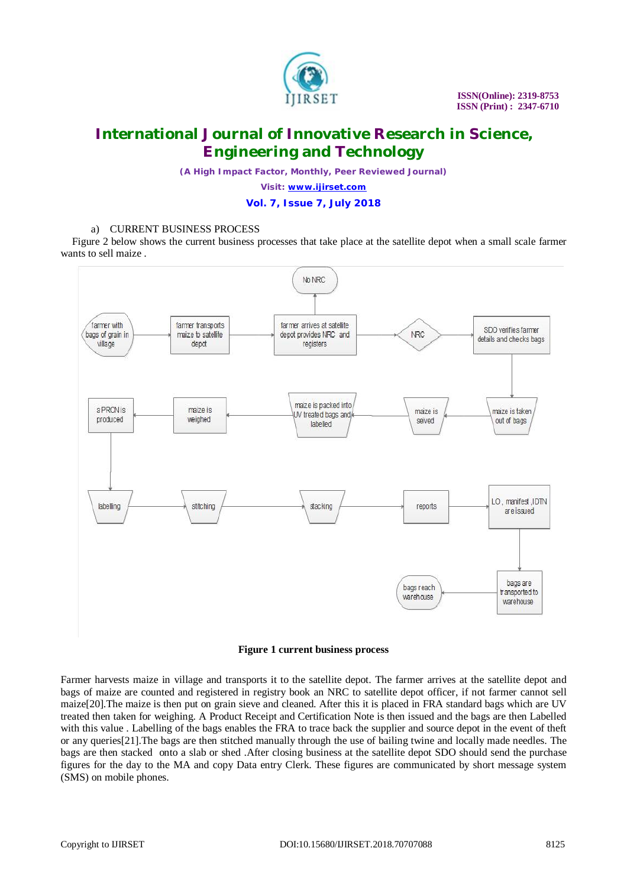

*(A High Impact Factor, Monthly, Peer Reviewed Journal)*

*Visit: [www.ijirset.com](http://www.ijirset.com)*

**Vol. 7, Issue 7, July 2018**

### a) CURRENT BUSINESS PROCESS

Figure 2 below shows the current business processes that take place at the satellite depot when a small scale farmer wants to sell maize .



### **Figure 1 current business process**

Farmer harvests maize in village and transports it to the satellite depot. The farmer arrives at the satellite depot and bags of maize are counted and registered in registry book an NRC to satellite depot officer, if not farmer cannot sell maize[20].The maize is then put on grain sieve and cleaned. After this it is placed in FRA standard bags which are UV treated then taken for weighing. A Product Receipt and Certification Note is then issued and the bags are then Labelled with this value . Labelling of the bags enables the FRA to trace back the supplier and source depot in the event of theft or any queries[21].The bags are then stitched manually through the use of bailing twine and locally made needles. The bags are then stacked onto a slab or shed .After closing business at the satellite depot SDO should send the purchase figures for the day to the MA and copy Data entry Clerk. These figures are communicated by short message system (SMS) on mobile phones.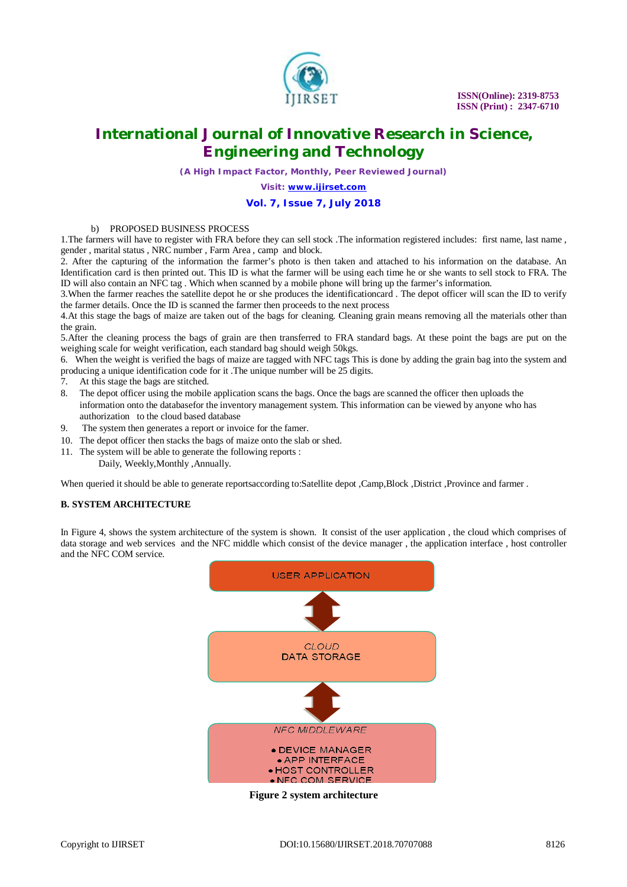

*(A High Impact Factor, Monthly, Peer Reviewed Journal)*

*Visit: [www.ijirset.com](http://www.ijirset.com)*

#### **Vol. 7, Issue 7, July 2018**

### b) PROPOSED BUSINESS PROCESS

1.The farmers will have to register with FRA before they can sell stock .The information registered includes: first name, last name , gender , marital status , NRC number , Farm Area , camp and block.

2. After the capturing of the information the farmer's photo is then taken and attached to his information on the database. An Identification card is then printed out. This ID is what the farmer will be using each time he or she wants to sell stock to FRA. The ID will also contain an NFC tag . Which when scanned by a mobile phone will bring up the farmer's information.

3.When the farmer reaches the satellite depot he or she produces the identificationcard . The depot officer will scan the ID to verify the farmer details. Once the ID is scanned the farmer then proceeds to the next process

4.At this stage the bags of maize are taken out of the bags for cleaning. Cleaning grain means removing all the materials other than the grain.

5.After the cleaning process the bags of grain are then transferred to FRA standard bags. At these point the bags are put on the weighing scale for weight verification, each standard bag should weigh 50kgs.

6. When the weight is verified the bags of maize are tagged with NFC tags This is done by adding the grain bag into the system and producing a unique identification code for it .The unique number will be 25 digits.

- 7. At this stage the bags are stitched.
- 8. The depot officer using the mobile application scans the bags. Once the bags are scanned the officer then uploads the information onto the databasefor the inventory management system. This information can be viewed by anyone who has authorization to the cloud based database
- 9. The system then generates a report or invoice for the famer.
- 10. The depot officer then stacks the bags of maize onto the slab or shed.
- 11. The system will be able to generate the following reports :
	- Daily, Weekly,Monthly ,Annually.

When queried it should be able to generate reportsaccording to:Satellite depot ,Camp,Block ,District ,Province and farmer .

#### **B. SYSTEM ARCHITECTURE**

In Figure 4, shows the system architecture of the system is shown. It consist of the user application , the cloud which comprises of data storage and web services and the NFC middle which consist of the device manager , the application interface , host controller and the NFC COM service.



**Figure 2 system architecture**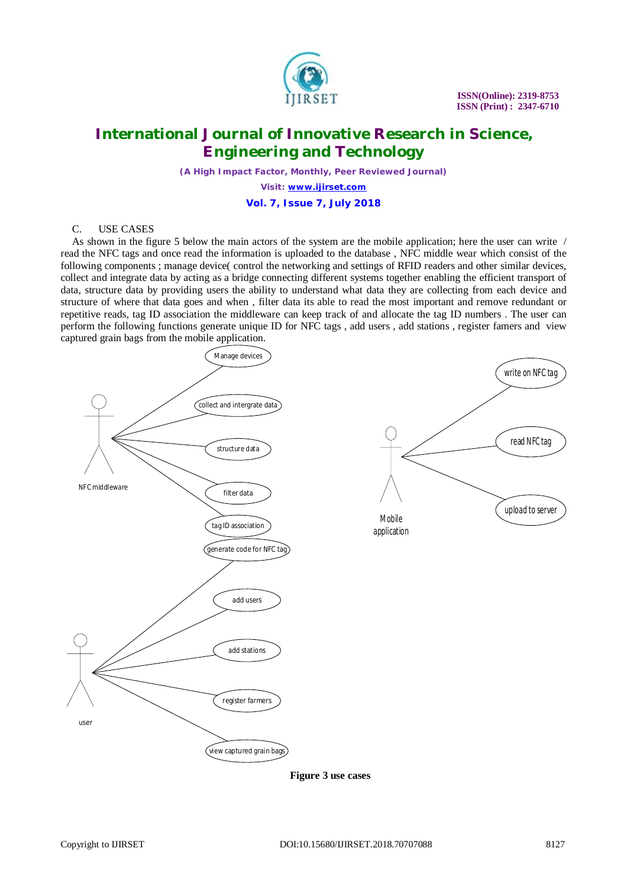

*(A High Impact Factor, Monthly, Peer Reviewed Journal)*

*Visit: [www.ijirset.com](http://www.ijirset.com)*

**Vol. 7, Issue 7, July 2018**

#### C. USE CASES

As shown in the figure 5 below the main actors of the system are the mobile application; here the user can write / read the NFC tags and once read the information is uploaded to the database , NFC middle wear which consist of the following components ; manage device( control the networking and settings of RFID readers and other similar devices, collect and integrate data by acting as a bridge connecting different systems together enabling the efficient transport of data, structure data by providing users the ability to understand what data they are collecting from each device and structure of where that data goes and when , filter data its able to read the most important and remove redundant or repetitive reads, tag ID association the middleware can keep track of and allocate the tag ID numbers . The user can perform the following functions generate unique ID for NFC tags , add users , add stations , register famers and view captured grain bags from the mobile application.



 **Figure 3 use cases**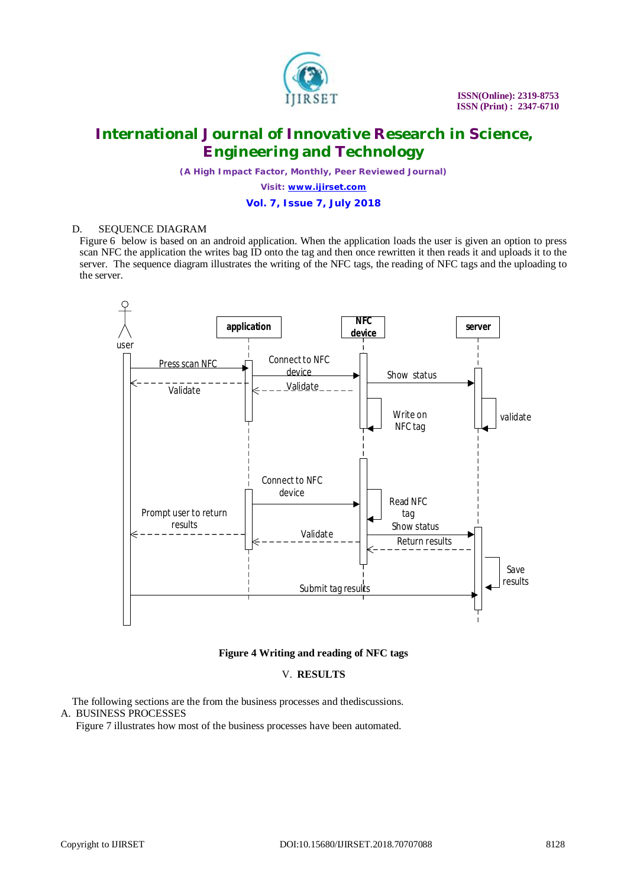

*(A High Impact Factor, Monthly, Peer Reviewed Journal)*

*Visit: [www.ijirset.com](http://www.ijirset.com)*

**Vol. 7, Issue 7, July 2018**

#### D. SEQUENCE DIAGRAM

Figure 6 below is based on an android application. When the application loads the user is given an option to press scan NFC the application the writes bag ID onto the tag and then once rewritten it then reads it and uploads it to the server. The sequence diagram illustrates the writing of the NFC tags, the reading of NFC tags and the uploading to the server.



### **Figure 4 Writing and reading of NFC tags**

#### V. **RESULTS**

The following sections are the from the business processes and thediscussions. A. BUSINESS PROCESSES

Figure 7 illustrates how most of the business processes have been automated.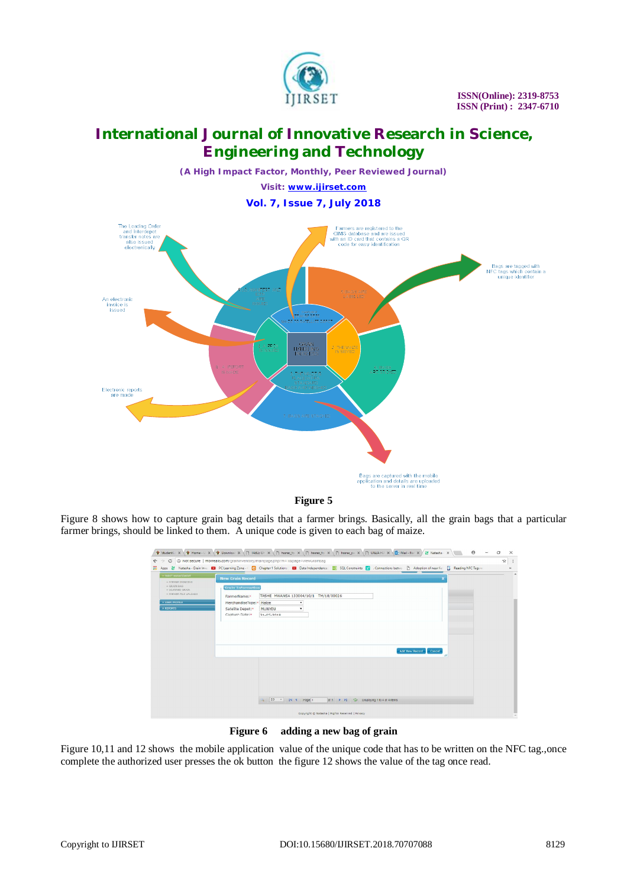

*(A High Impact Factor, Monthly, Peer Reviewed Journal) Visit: [www.ijirset.com](http://www.ijirset.com)* **Vol. 7, Issue 7, July 2018**



**Figure 5**

Figure 8 shows how to capture grain bag details that a farmer brings. Basically, all the grain bags that a particular farmer brings, should be linked to them. A unique code is given to each bag of maize.

|                                                                                                                                                        | Studentic X ( Studentic X ( Studential X ( D UNIX C) HELD X ( D Inspectio X ( D Inspectio X ( D UNIX C) UNIX NO X ( D UNIX NO X X / 2 National X X X X 3 National X X X X X 3 National X X X X X X X National X X X X X X X X<br>$\Theta$<br>$\sigma$<br>$\times$    |
|--------------------------------------------------------------------------------------------------------------------------------------------------------|----------------------------------------------------------------------------------------------------------------------------------------------------------------------------------------------------------------------------------------------------------------------|
| $_{\rm C}$<br>$\leftarrow$ $\rightarrow$                                                                                                               | $\dot{\rm K}$<br>1 Not secure   mbwealls.com/graininventory/mainpage.php?m=1&page=vlewGrainBag                                                                                                                                                                       |
|                                                                                                                                                        | He Apps Matasha Grain Inve 12 PC Learning Zone - C C Chapter 1 Solutions 12 Data Independence 22 SQL Constraints Re . Connections betwe [3] Adoption of near fie [3] Reading NFC Tags w<br>$\mathcal{V}$                                                             |
| <b>- INFUT MANAGEMENT</b><br>- FARMER INDEXING<br>$+$ GRAIN BAG<br>+ SCANNED GRAIN<br>+ FARMER FILE UPLOADS<br><b>FUSER PROFILE</b><br><b>FREPORTS</b> | <b>New Grain Record</b><br><b>Grain Information</b><br>TASHE MWANSA 133004/10/1 TM/18/00026<br>FarmerName:"<br>MerchandiseType: Malze<br>$\mathbf{v}$<br>Satelite Depot:<br>MUNYEU<br>$\mathbf{v}$<br>Capture Date:*<br>$31 - 05 - 2018$<br>Add New Record<br>Cancel |
|                                                                                                                                                        | 20 T K 4 Page 1<br>Copyright @ Natasha   Rights Reserved   Privacy                                                                                                                                                                                                   |

**Figure 6 adding a new bag of grain**

Figure 10,11 and 12 shows the mobile application value of the unique code that has to be written on the NFC tag.,once complete the authorized user presses the ok button the figure 12 shows the value of the tag once read.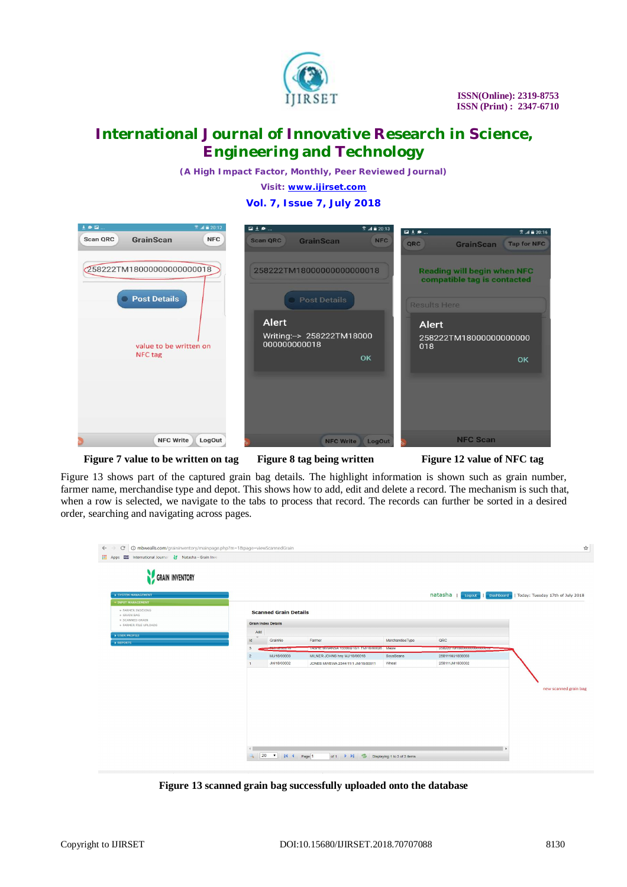

*(A High Impact Factor, Monthly, Peer Reviewed Journal)*

*Visit: [www.ijirset.com](http://www.ijirset.com)*

### **Vol. 7, Issue 7, July 2018**



**Figure 7 value to be written on tag Figure 8 tag being written Figure 12 value of NFC tag**

Figure 13 shows part of the captured grain bag details. The highlight information is shown such as grain number, farmer name, merchandise type and depot. This shows how to add, edit and delete a record. The mechanism is such that, when a row is selected, we navigate to the tabs to process that record. The records can further be sorted in a desired order, searching and navigating across pages.

| Apps <b>ICI</b> International Journal V Natasha - Grain Inve |                |                              |                                            |                 |                             |                                                       |
|--------------------------------------------------------------|----------------|------------------------------|--------------------------------------------|-----------------|-----------------------------|-------------------------------------------------------|
|                                                              |                |                              |                                            |                 |                             |                                                       |
| GRAIN INVENTORY                                              |                |                              |                                            |                 |                             |                                                       |
| SYSTEM MANAGEMENT                                            |                |                              |                                            |                 | natasha                     | Logout   Dashboard   Today: Tuesday 17th of July 2018 |
| <b>* INPUT MANAGEMENT</b>                                    |                |                              |                                            |                 |                             |                                                       |
| + FARMER INDEXING<br>+ GRAIN BAG                             |                | <b>Scanned Grain Details</b> |                                            |                 |                             |                                                       |
| + SCANNED GRAIN                                              |                | <b>Grain Index Details</b>   |                                            |                 |                             |                                                       |
| + FARMER FILE UPLOADS                                        | Add            |                              |                                            |                 |                             |                                                       |
| <b>V USER PROFILE</b>                                        | <b>Id</b>      | GrainNo                      | Farmer                                     | MerchandiseType | QRC                         |                                                       |
| <b>EREPORTS</b>                                              | 3              | <b>THE ENDING</b>            | TASHE MWANSA 133004/10/1 TM/18/00026 Maize |                 | 2002221 M100000000000000000 |                                                       |
|                                                              | $\overline{2}$ | MJ/18/00003                  | MILNER JOHNS hny MJ/18/00018               | SoyaBeans       | 258111MJ1800003             |                                                       |
|                                                              |                | JM/18/00002                  | JONES MWEWA 2344/11/1 JM/18/00011          | Wheat           | 258111JM1800002             |                                                       |
|                                                              |                |                              |                                            |                 |                             |                                                       |
|                                                              |                |                              |                                            |                 |                             |                                                       |
|                                                              |                |                              |                                            |                 |                             | new scanned grain bag                                 |
|                                                              |                |                              |                                            |                 |                             |                                                       |
|                                                              |                |                              |                                            |                 |                             |                                                       |
|                                                              |                |                              |                                            |                 |                             |                                                       |
|                                                              |                |                              |                                            |                 |                             |                                                       |
|                                                              |                |                              |                                            |                 |                             |                                                       |
|                                                              |                |                              |                                            |                 |                             |                                                       |
|                                                              |                |                              |                                            |                 |                             |                                                       |

**Figure 13 scanned grain bag successfully uploaded onto the database**